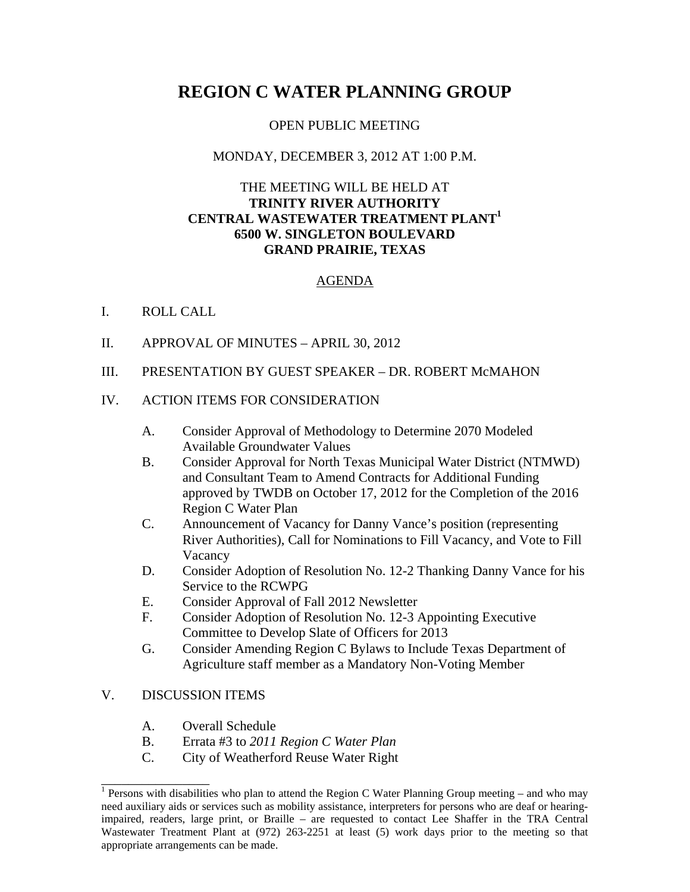# **REGION C WATER PLANNING GROUP**

## OPEN PUBLIC MEETING

## MONDAY, DECEMBER 3, 2012 AT 1:00 P.M.

# THE MEETING WILL BE HELD AT **TRINITY RIVER AUTHORITY CENTRAL WASTEWATER TREATMENT PLANT1 6500 W. SINGLETON BOULEVARD GRAND PRAIRIE, TEXAS**

#### AGENDA

#### I. ROLL CALL

- II. APPROVAL OF MINUTES APRIL 30, 2012
- III. PRESENTATION BY GUEST SPEAKER DR. ROBERT McMAHON

#### IV. ACTION ITEMS FOR CONSIDERATION

- A. Consider Approval of Methodology to Determine 2070 Modeled Available Groundwater Values
- B. Consider Approval for North Texas Municipal Water District (NTMWD) and Consultant Team to Amend Contracts for Additional Funding approved by TWDB on October 17, 2012 for the Completion of the 2016 Region C Water Plan
- C. Announcement of Vacancy for Danny Vance's position (representing River Authorities), Call for Nominations to Fill Vacancy, and Vote to Fill Vacancy
- D. Consider Adoption of Resolution No. 12-2 Thanking Danny Vance for his Service to the RCWPG
- E. Consider Approval of Fall 2012 Newsletter
- F. Consider Adoption of Resolution No. 12-3 Appointing Executive Committee to Develop Slate of Officers for 2013
- G. Consider Amending Region C Bylaws to Include Texas Department of Agriculture staff member as a Mandatory Non-Voting Member

#### V. DISCUSSION ITEMS

\_\_\_\_\_\_\_\_\_\_\_\_\_\_\_\_

- A. Overall Schedule
- B. Errata #3 to *2011 Region C Water Plan*
- C. City of Weatherford Reuse Water Right

<sup>&</sup>lt;sup>1</sup> Persons with disabilities who plan to attend the Region C Water Planning Group meeting – and who may need auxiliary aids or services such as mobility assistance, interpreters for persons who are deaf or hearingimpaired, readers, large print, or Braille – are requested to contact Lee Shaffer in the TRA Central Wastewater Treatment Plant at (972) 263-2251 at least (5) work days prior to the meeting so that appropriate arrangements can be made.